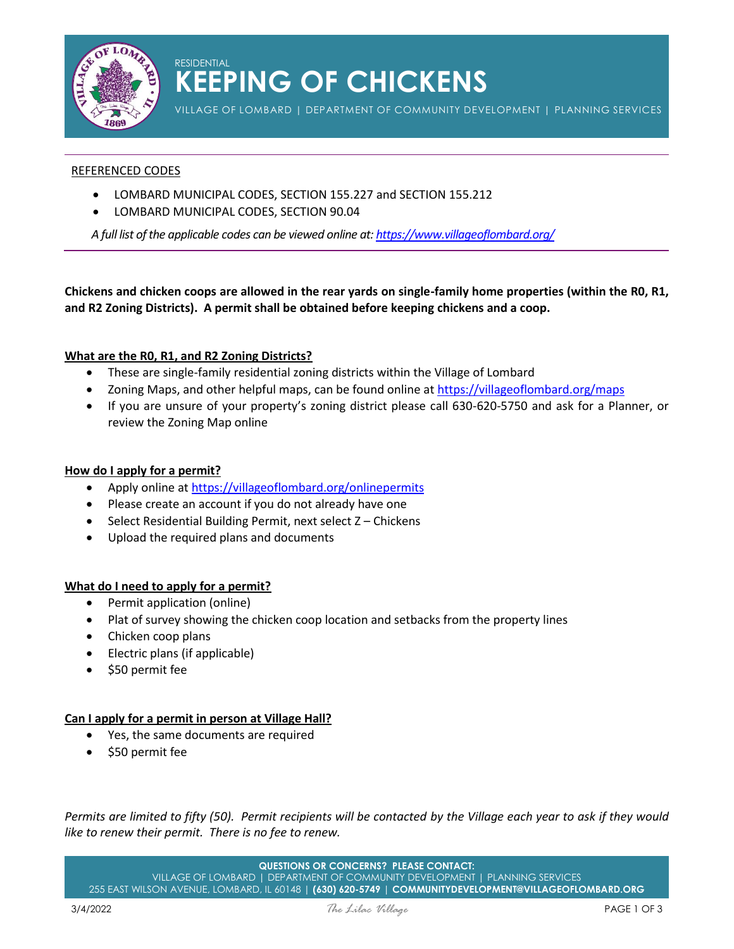

### RESIDENTIAL **KEEPING OF CHICKENS**

VILLAGE OF LOMBARD | DEPARTMENT OF COMMUNITY DEVELOPMENT | PLANNING SERVICES

#### REFERENCED CODES

- LOMBARD MUNICIPAL CODES, SECTION 155.227 and SECTION 155.212
- LOMBARD MUNICIPAL CODES, SECTION 90.04

*A full list of the applicable codes can be viewed online at:<https://www.villageoflombard.org/>*

**Chickens and chicken coops are allowed in the rear yards on single-family home properties (within the R0, R1, and R2 Zoning Districts). A permit shall be obtained before keeping chickens and a coop.** 

#### **What are the R0, R1, and R2 Zoning Districts?**

- These are single-family residential zoning districts within the Village of Lombard
- Zoning Maps, and other helpful maps, can be found online at<https://villageoflombard.org/maps>
- If you are unsure of your property's zoning district please call 630-620-5750 and ask for a Planner, or review the Zoning Map online

#### **How do I apply for a permit?**

- Apply online a[t https://villageoflombard.org/onlinepermits](https://villageoflombard.org/onlinepermits)
- Please create an account if you do not already have one
- Select Residential Building Permit, next select Z Chickens
- Upload the required plans and documents

#### **What do I need to apply for a permit?**

- Permit application (online)
- Plat of survey showing the chicken coop location and setbacks from the property lines
- Chicken coop plans
- Electric plans (if applicable)
- \$50 permit fee

#### **Can I apply for a permit in person at Village Hall?**

- Yes, the same documents are required
- \$50 permit fee

*Permits are limited to fifty (50). Permit recipients will be contacted by the Village each year to ask if they would like to renew their permit. There is no fee to renew.*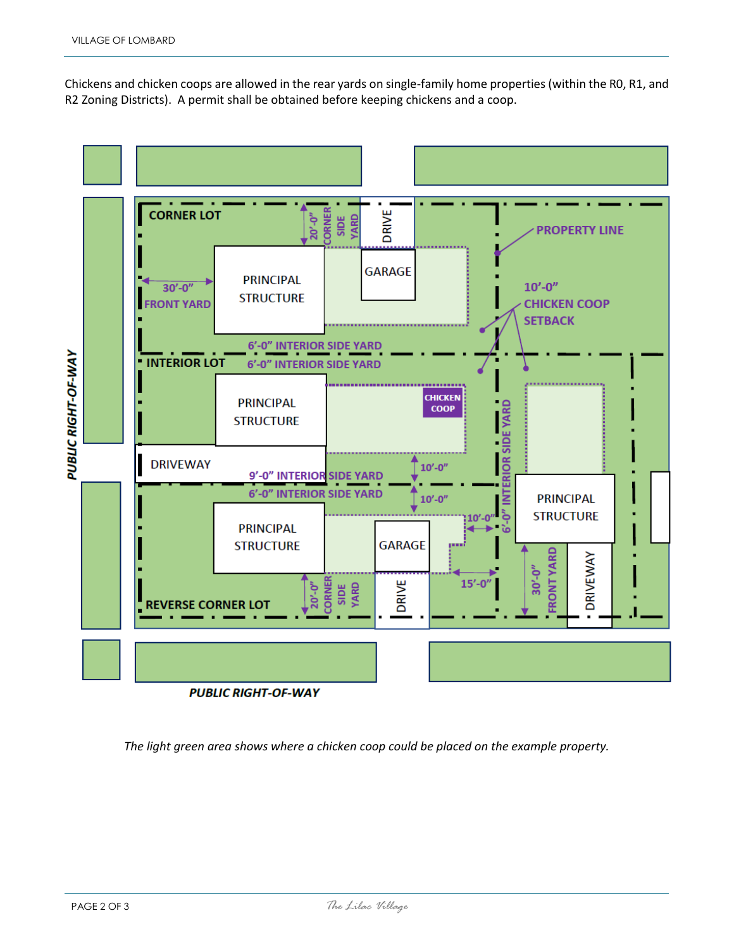Chickens and chicken coops are allowed in the rear yards on single-family home properties (within the R0, R1, and R2 Zoning Districts). A permit shall be obtained before keeping chickens and a coop.



*The light green area shows where a chicken coop could be placed on the example property.*